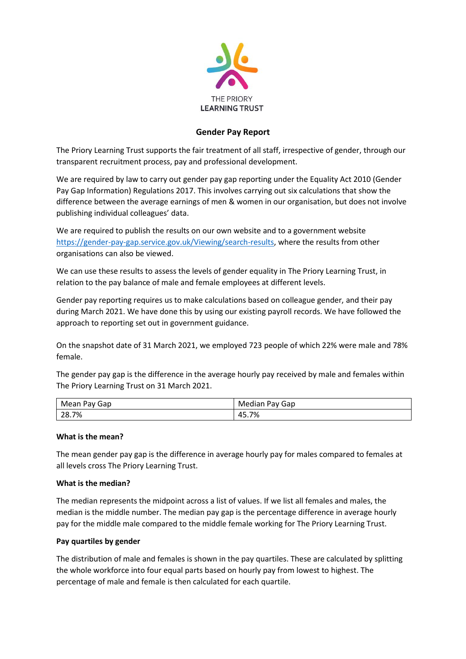

# **Gender Pay Report**

The Priory Learning Trust supports the fair treatment of all staff, irrespective of gender, through our transparent recruitment process, pay and professional development.

We are required by law to carry out gender pay gap reporting under the Equality Act 2010 (Gender Pay Gap Information) Regulations 2017. This involves carrying out six calculations that show the difference between the average earnings of men & women in our organisation, but does not involve publishing individual colleagues' data.

We are required to publish the results on our own website and to a government website [https://gender-pay-gap.service.gov.uk/Viewing/search-results,](https://gender-pay-gap.service.gov.uk/Viewing/search-results) where the results from other organisations can also be viewed.

We can use these results to assess the levels of gender equality in The Priory Learning Trust, in relation to the pay balance of male and female employees at different levels.

Gender pay reporting requires us to make calculations based on colleague gender, and their pay during March 2021. We have done this by using our existing payroll records. We have followed the approach to reporting set out in government guidance.

On the snapshot date of 31 March 2021, we employed 723 people of which 22% were male and 78% female.

The gender pay gap is the difference in the average hourly pay received by male and females within The Priory Learning Trust on 31 March 2021.

| Mean Pay Gap | Pay Gap<br>Median |
|--------------|-------------------|
| 28.7%        | 45.7%             |

## **What is the mean?**

The mean gender pay gap is the difference in average hourly pay for males compared to females at all levels cross The Priory Learning Trust.

## **What is the median?**

The median represents the midpoint across a list of values. If we list all females and males, the median is the middle number. The median pay gap is the percentage difference in average hourly pay for the middle male compared to the middle female working for The Priory Learning Trust.

## **Pay quartiles by gender**

The distribution of male and females is shown in the pay quartiles. These are calculated by splitting the whole workforce into four equal parts based on hourly pay from lowest to highest. The percentage of male and female is then calculated for each quartile.